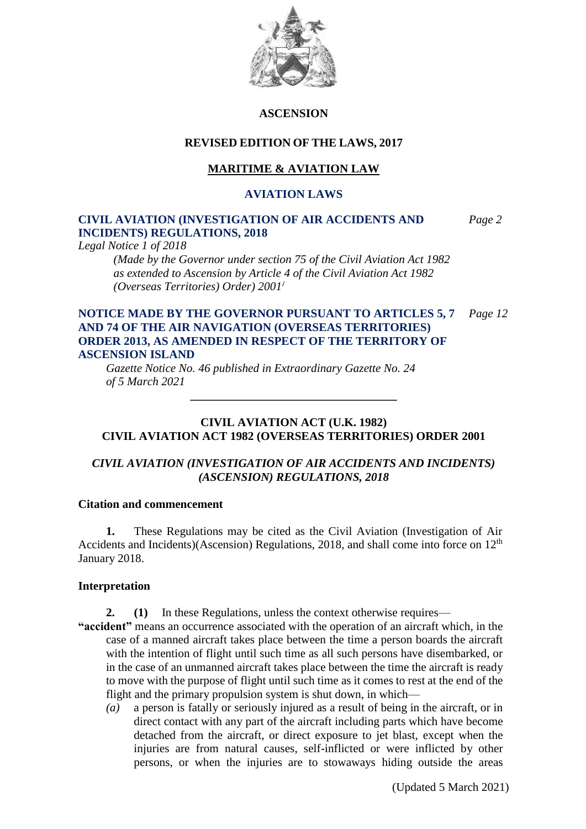

# **ASCENSION**

# **REVISED EDITION OF THE LAWS, 2017**

# **MARITIME & AVIATION LAW**

#### **AVIATION LAWS**

### **CIVIL AVIATION (INVESTIGATION OF AIR ACCIDENTS AND** *Page 2* **INCIDENTS) REGULATIONS, 2018**

*Legal Notice 1 of 2018*

*(Made by the Governor under section 75 of the Civil Aviation Act 1982 as extended to Ascension by Article 4 of the Civil Aviation Act 1982 (Overseas Territories) Order) 2001*<sup>i</sup>

### **NOTICE MADE BY THE GOVERNOR PURSUANT TO ARTICLES 5, 7** *Page 12* **AND 74 OF THE AIR NAVIGATION (OVERSEAS TERRITORIES) ORDER 2013, AS AMENDED IN RESPECT OF THE TERRITORY OF ASCENSION ISLAND**

*Gazette Notice No. 46 published in Extraordinary Gazette No. 24 of 5 March 2021*

# **CIVIL AVIATION ACT (U.K. 1982) CIVIL AVIATION ACT 1982 (OVERSEAS TERRITORIES) ORDER 2001**

**\_\_\_\_\_\_\_\_\_\_\_\_\_\_\_\_\_\_\_\_\_\_\_\_\_\_\_\_\_\_\_\_\_\_\_**

# *CIVIL AVIATION (INVESTIGATION OF AIR ACCIDENTS AND INCIDENTS) (ASCENSION) REGULATIONS, 2018*

#### **Citation and commencement**

**1.** These Regulations may be cited as the Civil Aviation (Investigation of Air Accidents and Incidents)(Ascension) Regulations, 2018, and shall come into force on 12<sup>th</sup> January 2018.

### **Interpretation**

**2. (1)** In these Regulations, unless the context otherwise requires—

- **"accident"** means an occurrence associated with the operation of an aircraft which, in the case of a manned aircraft takes place between the time a person boards the aircraft with the intention of flight until such time as all such persons have disembarked, or in the case of an unmanned aircraft takes place between the time the aircraft is ready to move with the purpose of flight until such time as it comes to rest at the end of the flight and the primary propulsion system is shut down, in which—
	- *(a)* a person is fatally or seriously injured as a result of being in the aircraft, or in direct contact with any part of the aircraft including parts which have become detached from the aircraft, or direct exposure to jet blast, except when the injuries are from natural causes, self-inflicted or were inflicted by other persons, or when the injuries are to stowaways hiding outside the areas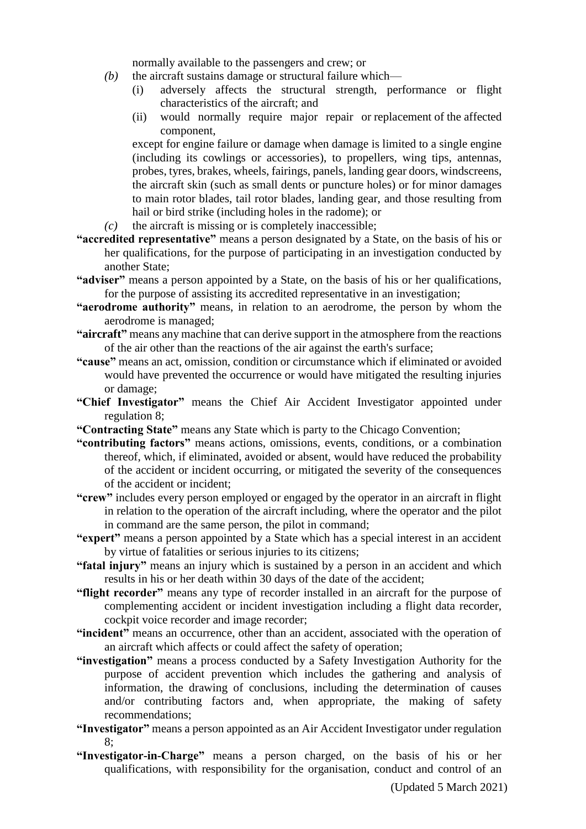normally available to the passengers and crew; or

- *(b)* the aircraft sustains damage or structural failure which—
	- (i) adversely affects the structural strength, performance or flight characteristics of the aircraft; and
	- (ii) would normally require major repair or replacement of the affected component,

except for engine failure or damage when damage is limited to a single engine (including its cowlings or accessories), to propellers, wing tips, antennas, probes, tyres, brakes, wheels, fairings, panels, landing gear doors, windscreens, the aircraft skin (such as small dents or puncture holes) or for minor damages to main rotor blades, tail rotor blades, landing gear, and those resulting from hail or bird strike (including holes in the radome); or

- *(c)* the aircraft is missing or is completely inaccessible;
- **"accredited representative"** means a person designated by a State, on the basis of his or her qualifications, for the purpose of participating in an investigation conducted by another State;
- **"adviser"** means a person appointed by a State, on the basis of his or her qualifications, for the purpose of assisting its accredited representative in an investigation;
- **"aerodrome authority"** means, in relation to an aerodrome, the person by whom the aerodrome is managed;
- **"aircraft"** means any machine that can derive support in the atmosphere from the reactions of the air other than the reactions of the air against the earth's surface;
- **"cause"** means an act, omission, condition or circumstance which if eliminated or avoided would have prevented the occurrence or would have mitigated the resulting injuries or damage;
- **"Chief Investigator"** means the Chief Air Accident Investigator appointed under regulation 8;
- **"Contracting State"** means any State which is party to the Chicago Convention;
- **"contributing factors"** means actions, omissions, events, conditions, or a combination thereof, which, if eliminated, avoided or absent, would have reduced the probability of the accident or incident occurring, or mitigated the severity of the consequences of the accident or incident;
- **"crew"** includes every person employed or engaged by the operator in an aircraft in flight in relation to the operation of the aircraft including, where the operator and the pilot in command are the same person, the pilot in command;
- **"expert"** means a person appointed by a State which has a special interest in an accident by virtue of fatalities or serious injuries to its citizens;
- **"fatal injury"** means an injury which is sustained by a person in an accident and which results in his or her death within 30 days of the date of the accident;
- **"flight recorder"** means any type of recorder installed in an aircraft for the purpose of complementing accident or incident investigation including a flight data recorder, cockpit voice recorder and image recorder;
- **"incident"** means an occurrence, other than an accident, associated with the operation of an aircraft which affects or could affect the safety of operation;
- **"investigation"** means a process conducted by a Safety Investigation Authority for the purpose of accident prevention which includes the gathering and analysis of information, the drawing of conclusions, including the determination of causes and/or contributing factors and, when appropriate, the making of safety recommendations;
- **"Investigator"** means a person appointed as an Air Accident Investigator under regulation  $8$
- **"Investigator-in-Charge"** means a person charged, on the basis of his or her qualifications, with responsibility for the organisation, conduct and control of an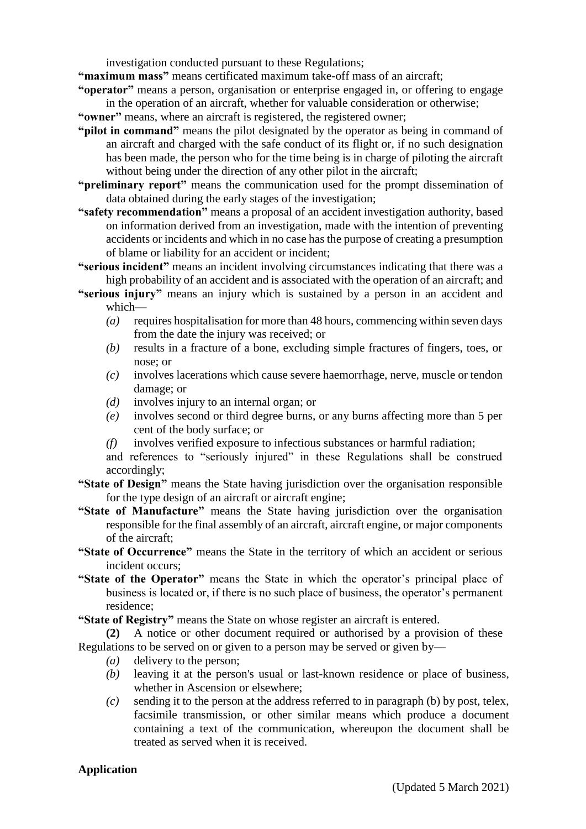investigation conducted pursuant to these Regulations;

**"maximum mass"** means certificated maximum take-off mass of an aircraft;

- **"operator"** means a person, organisation or enterprise engaged in, or offering to engage in the operation of an aircraft, whether for valuable consideration or otherwise;
- **"owner"** means, where an aircraft is registered, the registered owner;
- **"pilot in command"** means the pilot designated by the operator as being in command of an aircraft and charged with the safe conduct of its flight or, if no such designation has been made, the person who for the time being is in charge of piloting the aircraft without being under the direction of any other pilot in the aircraft;
- **"preliminary report"** means the communication used for the prompt dissemination of data obtained during the early stages of the investigation;
- **"safety recommendation"** means a proposal of an accident investigation authority, based on information derived from an investigation, made with the intention of preventing accidents or incidents and which in no case has the purpose of creating a presumption of blame or liability for an accident or incident;
- **"serious incident"** means an incident involving circumstances indicating that there was a high probability of an accident and is associated with the operation of an aircraft; and
- **"serious injury"** means an injury which is sustained by a person in an accident and which—
	- *(a)* requires hospitalisation for more than 48 hours, commencing within seven days from the date the injury was received; or
	- *(b)* results in a fracture of a bone, excluding simple fractures of fingers, toes, or nose; or
	- *(c)* involves lacerations which cause severe haemorrhage, nerve, muscle or tendon damage; or
	- *(d)* involves injury to an internal organ; or
	- *(e)* involves second or third degree burns, or any burns affecting more than 5 per cent of the body surface; or
	- *(f)* involves verified exposure to infectious substances or harmful radiation;

and references to "seriously injured" in these Regulations shall be construed accordingly;

- **"State of Design"** means the State having jurisdiction over the organisation responsible for the type design of an aircraft or aircraft engine;
- **"State of Manufacture"** means the State having jurisdiction over the organisation responsible for the final assembly of an aircraft, aircraft engine, or major components of the aircraft;
- **"State of Occurrence"** means the State in the territory of which an accident or serious incident occurs;
- **"State of the Operator"** means the State in which the operator's principal place of business is located or, if there is no such place of business, the operator's permanent residence;
- **"State of Registry"** means the State on whose register an aircraft is entered.

**(2)** A notice or other document required or authorised by a provision of these Regulations to be served on or given to a person may be served or given by—

- *(a)* delivery to the person;
- *(b)* leaving it at the person's usual or last-known residence or place of business, whether in Ascension or elsewhere;
- *(c)* sending it to the person at the address referred to in paragraph (b) by post, telex, facsimile transmission, or other similar means which produce a document containing a text of the communication, whereupon the document shall be treated as served when it is received.

#### **Application**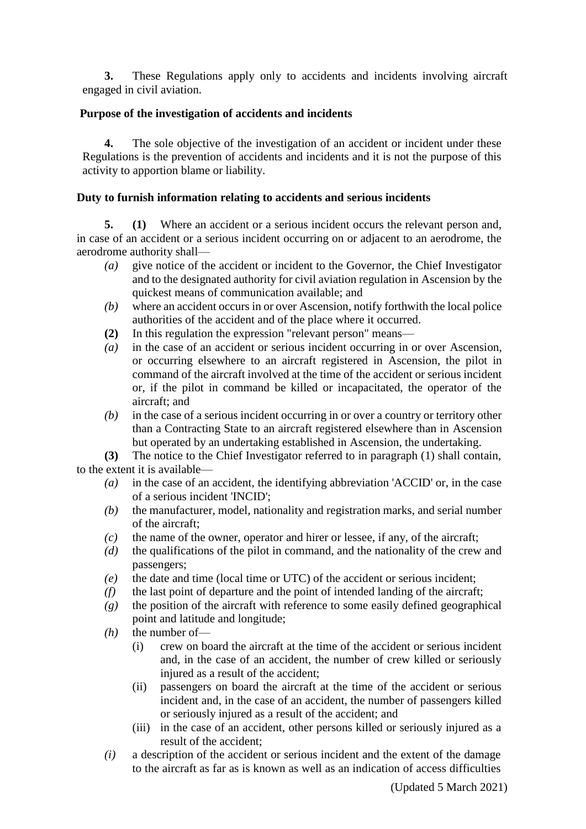**3.** These Regulations apply only to accidents and incidents involving aircraft engaged in civil aviation.

# **Purpose of the investigation of accidents and incidents**

**4.** The sole objective of the investigation of an accident or incident under these Regulations is the prevention of accidents and incidents and it is not the purpose of this activity to apportion blame or liability.

# **Duty to furnish information relating to accidents and serious incidents**

**5. (1)** Where an accident or a serious incident occurs the relevant person and, in case of an accident or a serious incident occurring on or adjacent to an aerodrome, the aerodrome authority shall—

- *(a)* give notice of the accident or incident to the Governor, the Chief Investigator and to the designated authority for civil aviation regulation in Ascension by the quickest means of communication available; and
- *(b)* where an accident occurs in or over Ascension, notify forthwith the local police authorities of the accident and of the place where it occurred.
- **(2)** In this regulation the expression "relevant person" means—
- *(a)* in the case of an accident or serious incident occurring in or over Ascension, or occurring elsewhere to an aircraft registered in Ascension, the pilot in command of the aircraft involved at the time of the accident or serious incident or, if the pilot in command be killed or incapacitated, the operator of the aircraft; and
- *(b)* in the case of a serious incident occurring in or over a country or territory other than a Contracting State to an aircraft registered elsewhere than in Ascension but operated by an undertaking established in Ascension, the undertaking.

**(3)** The notice to the Chief Investigator referred to in paragraph (1) shall contain, to the extent it is available—

- *(a)* in the case of an accident, the identifying abbreviation 'ACCID' or, in the case of a serious incident 'INCID';
- *(b)* the manufacturer, model, nationality and registration marks, and serial number of the aircraft;
- *(c)* the name of the owner, operator and hirer or lessee, if any, of the aircraft;
- *(d)* the qualifications of the pilot in command, and the nationality of the crew and passengers;
- *(e)* the date and time (local time or UTC) of the accident or serious incident;
- *(f)* the last point of departure and the point of intended landing of the aircraft;
- *(g)* the position of the aircraft with reference to some easily defined geographical point and latitude and longitude;
- *(h)* the number of—
	- (i) crew on board the aircraft at the time of the accident or serious incident and, in the case of an accident, the number of crew killed or seriously injured as a result of the accident:
	- (ii) passengers on board the aircraft at the time of the accident or serious incident and, in the case of an accident, the number of passengers killed or seriously injured as a result of the accident; and
	- (iii) in the case of an accident, other persons killed or seriously injured as a result of the accident;
- *(i)* a description of the accident or serious incident and the extent of the damage to the aircraft as far as is known as well as an indication of access difficulties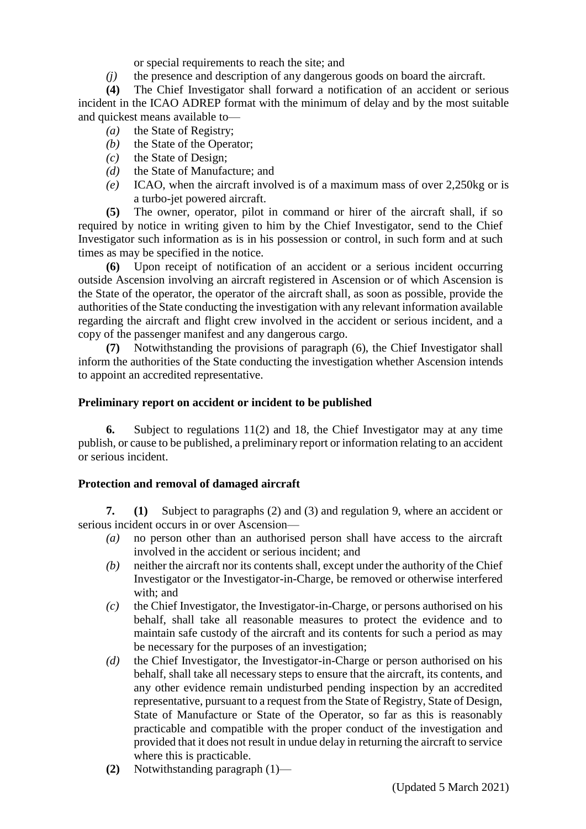or special requirements to reach the site; and

*(j)* the presence and description of any dangerous goods on board the aircraft.

**(4)** The Chief Investigator shall forward a notification of an accident or serious incident in the ICAO ADREP format with the minimum of delay and by the most suitable and quickest means available to—

- *(a)* the State of Registry;
- *(b)* the State of the Operator;
- *(c)* the State of Design;
- *(d)* the State of Manufacture; and
- *(e)* ICAO, when the aircraft involved is of a maximum mass of over 2,250kg or is a turbo-jet powered aircraft.

**(5)** The owner, operator, pilot in command or hirer of the aircraft shall, if so required by notice in writing given to him by the Chief Investigator, send to the Chief Investigator such information as is in his possession or control, in such form and at such times as may be specified in the notice.

**(6)** Upon receipt of notification of an accident or a serious incident occurring outside Ascension involving an aircraft registered in Ascension or of which Ascension is the State of the operator, the operator of the aircraft shall, as soon as possible, provide the authorities of the State conducting the investigation with any relevant information available regarding the aircraft and flight crew involved in the accident or serious incident, and a copy of the passenger manifest and any dangerous cargo.

**(7)** Notwithstanding the provisions of paragraph (6), the Chief Investigator shall inform the authorities of the State conducting the investigation whether Ascension intends to appoint an accredited representative.

### **Preliminary report on accident or incident to be published**

**6.** Subject to regulations 11(2) and 18, the Chief Investigator may at any time publish, or cause to be published, a preliminary report or information relating to an accident or serious incident.

### **Protection and removal of damaged aircraft**

**7. (1)** Subject to paragraphs (2) and (3) and regulation 9, where an accident or serious incident occurs in or over Ascension—

- *(a)* no person other than an authorised person shall have access to the aircraft involved in the accident or serious incident; and
- *(b)* neither the aircraft nor its contents shall, except under the authority of the Chief Investigator or the Investigator-in-Charge, be removed or otherwise interfered with; and
- *(c)* the Chief Investigator, the Investigator-in-Charge, or persons authorised on his behalf, shall take all reasonable measures to protect the evidence and to maintain safe custody of the aircraft and its contents for such a period as may be necessary for the purposes of an investigation;
- *(d)* the Chief Investigator, the Investigator-in-Charge or person authorised on his behalf, shall take all necessary steps to ensure that the aircraft, its contents, and any other evidence remain undisturbed pending inspection by an accredited representative, pursuant to a request from the State of Registry, State of Design, State of Manufacture or State of the Operator, so far as this is reasonably practicable and compatible with the proper conduct of the investigation and provided that it does not result in undue delay in returning the aircraft to service where this is practicable.
- **(2)** Notwithstanding paragraph (1)—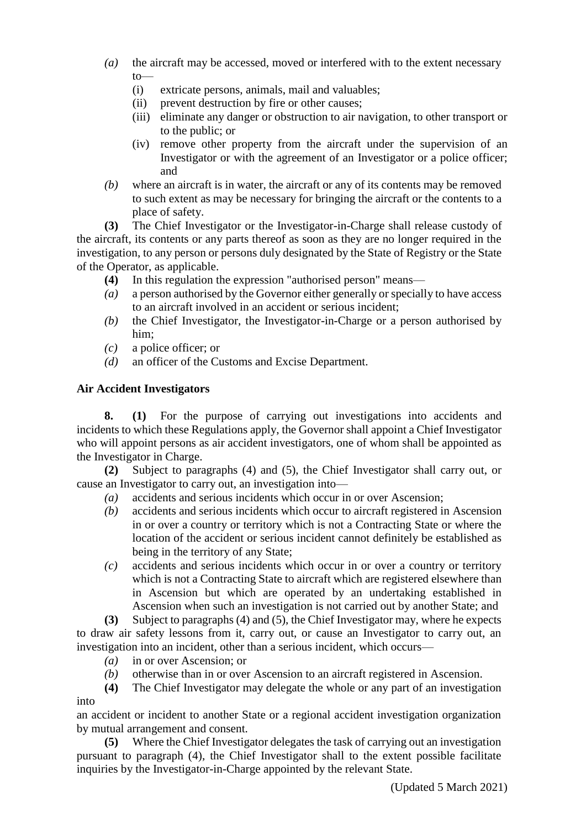- *(a)* the aircraft may be accessed, moved or interfered with to the extent necessary  $to$ —
	- (i) extricate persons, animals, mail and valuables;
	- (ii) prevent destruction by fire or other causes;
	- (iii) eliminate any danger or obstruction to air navigation, to other transport or to the public; or
	- (iv) remove other property from the aircraft under the supervision of an Investigator or with the agreement of an Investigator or a police officer; and
- *(b)* where an aircraft is in water, the aircraft or any of its contents may be removed to such extent as may be necessary for bringing the aircraft or the contents to a place of safety.

**(3)** The Chief Investigator or the Investigator-in-Charge shall release custody of the aircraft, its contents or any parts thereof as soon as they are no longer required in the investigation, to any person or persons duly designated by the State of Registry or the State of the Operator, as applicable.

- **(4)** In this regulation the expression "authorised person" means—
- *(a)* a person authorised by the Governor either generally or specially to have access to an aircraft involved in an accident or serious incident;
- *(b)* the Chief Investigator, the Investigator-in-Charge or a person authorised by him;
- *(c)* a police officer; or
- *(d)* an officer of the Customs and Excise Department.

# **Air Accident Investigators**

**8. (1)** For the purpose of carrying out investigations into accidents and incidents to which these Regulations apply, the Governor shall appoint a Chief Investigator who will appoint persons as air accident investigators, one of whom shall be appointed as the Investigator in Charge.

**(2)** Subject to paragraphs (4) and (5), the Chief Investigator shall carry out, or cause an Investigator to carry out, an investigation into—

- *(a)* accidents and serious incidents which occur in or over Ascension;
- *(b)* accidents and serious incidents which occur to aircraft registered in Ascension in or over a country or territory which is not a Contracting State or where the location of the accident or serious incident cannot definitely be established as being in the territory of any State;
- *(c)* accidents and serious incidents which occur in or over a country or territory which is not a Contracting State to aircraft which are registered elsewhere than in Ascension but which are operated by an undertaking established in Ascension when such an investigation is not carried out by another State; and

**(3)** Subject to paragraphs (4) and (5), the Chief Investigator may, where he expects to draw air safety lessons from it, carry out, or cause an Investigator to carry out, an investigation into an incident, other than a serious incident, which occurs—

- *(a)* in or over Ascension; or
- *(b)* otherwise than in or over Ascension to an aircraft registered in Ascension.
- **(4)** The Chief Investigator may delegate the whole or any part of an investigation into

an accident or incident to another State or a regional accident investigation organization by mutual arrangement and consent.

**(5)** Where the Chief Investigator delegates the task of carrying out an investigation pursuant to paragraph (4), the Chief Investigator shall to the extent possible facilitate inquiries by the Investigator-in-Charge appointed by the relevant State.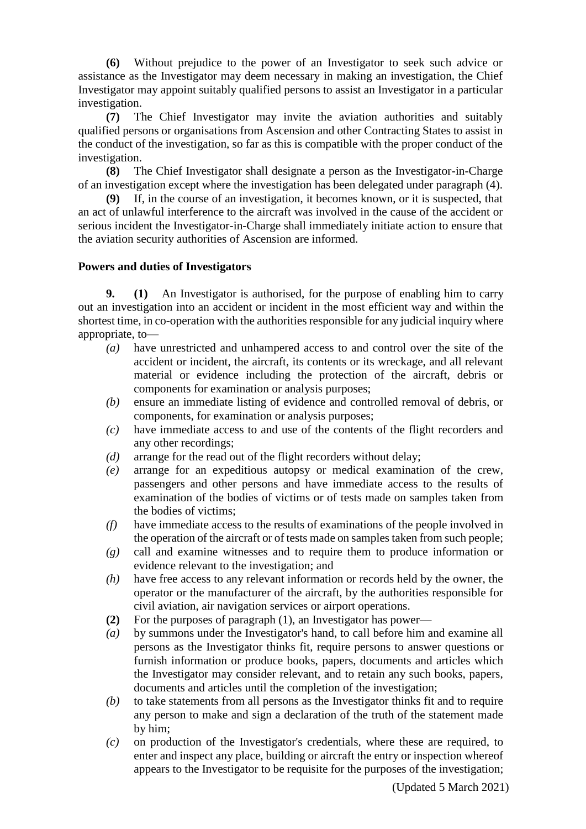**(6)** Without prejudice to the power of an Investigator to seek such advice or assistance as the Investigator may deem necessary in making an investigation, the Chief Investigator may appoint suitably qualified persons to assist an Investigator in a particular investigation.

**(7)** The Chief Investigator may invite the aviation authorities and suitably qualified persons or organisations from Ascension and other Contracting States to assist in the conduct of the investigation, so far as this is compatible with the proper conduct of the investigation.

**(8)** The Chief Investigator shall designate a person as the Investigator-in-Charge of an investigation except where the investigation has been delegated under paragraph (4).

**(9)** If, in the course of an investigation, it becomes known, or it is suspected, that an act of unlawful interference to the aircraft was involved in the cause of the accident or serious incident the Investigator-in-Charge shall immediately initiate action to ensure that the aviation security authorities of Ascension are informed.

### **Powers and duties of Investigators**

**9. (1)** An Investigator is authorised, for the purpose of enabling him to carry out an investigation into an accident or incident in the most efficient way and within the shortest time, in co-operation with the authorities responsible for any judicial inquiry where appropriate, to—

- *(a)* have unrestricted and unhampered access to and control over the site of the accident or incident, the aircraft, its contents or its wreckage, and all relevant material or evidence including the protection of the aircraft, debris or components for examination or analysis purposes;
- *(b)* ensure an immediate listing of evidence and controlled removal of debris, or components, for examination or analysis purposes;
- *(c)* have immediate access to and use of the contents of the flight recorders and any other recordings;
- *(d)* arrange for the read out of the flight recorders without delay;
- *(e)* arrange for an expeditious autopsy or medical examination of the crew, passengers and other persons and have immediate access to the results of examination of the bodies of victims or of tests made on samples taken from the bodies of victims;
- *(f)* have immediate access to the results of examinations of the people involved in the operation of the aircraft or of tests made on samples taken from such people;
- *(g)* call and examine witnesses and to require them to produce information or evidence relevant to the investigation; and
- *(h)* have free access to any relevant information or records held by the owner, the operator or the manufacturer of the aircraft, by the authorities responsible for civil aviation, air navigation services or airport operations.
- **(2)** For the purposes of paragraph (1), an Investigator has power—
- *(a)* by summons under the Investigator's hand, to call before him and examine all persons as the Investigator thinks fit, require persons to answer questions or furnish information or produce books, papers, documents and articles which the Investigator may consider relevant, and to retain any such books, papers, documents and articles until the completion of the investigation;
- *(b)* to take statements from all persons as the Investigator thinks fit and to require any person to make and sign a declaration of the truth of the statement made by him;
- *(c)* on production of the Investigator's credentials, where these are required, to enter and inspect any place, building or aircraft the entry or inspection whereof appears to the Investigator to be requisite for the purposes of the investigation;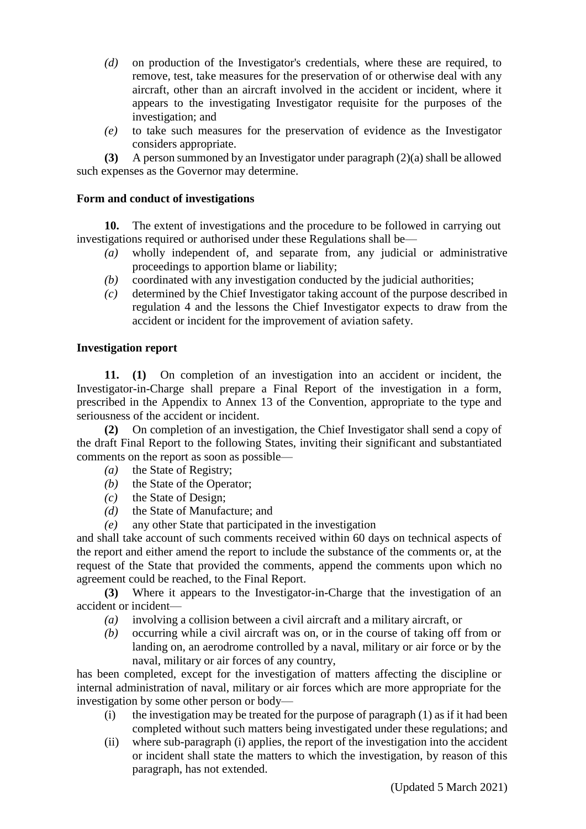- *(d)* on production of the Investigator's credentials, where these are required, to remove, test, take measures for the preservation of or otherwise deal with any aircraft, other than an aircraft involved in the accident or incident, where it appears to the investigating Investigator requisite for the purposes of the investigation; and
- *(e)* to take such measures for the preservation of evidence as the Investigator considers appropriate.

**(3)** A person summoned by an Investigator under paragraph (2)(a) shall be allowed such expenses as the Governor may determine.

# **Form and conduct of investigations**

**10.** The extent of investigations and the procedure to be followed in carrying out investigations required or authorised under these Regulations shall be—

- *(a)* wholly independent of, and separate from, any judicial or administrative proceedings to apportion blame or liability;
- *(b)* coordinated with any investigation conducted by the judicial authorities;
- *(c)* determined by the Chief Investigator taking account of the purpose described in regulation 4 and the lessons the Chief Investigator expects to draw from the accident or incident for the improvement of aviation safety.

# **Investigation report**

**11. (1)** On completion of an investigation into an accident or incident, the Investigator-in-Charge shall prepare a Final Report of the investigation in a form, prescribed in the Appendix to Annex 13 of the Convention, appropriate to the type and seriousness of the accident or incident.

**(2)** On completion of an investigation, the Chief Investigator shall send a copy of the draft Final Report to the following States, inviting their significant and substantiated comments on the report as soon as possible—

- *(a)* the State of Registry;
- *(b)* the State of the Operator;
- *(c)* the State of Design;
- *(d)* the State of Manufacture; and
- *(e)* any other State that participated in the investigation

and shall take account of such comments received within 60 days on technical aspects of the report and either amend the report to include the substance of the comments or, at the request of the State that provided the comments, append the comments upon which no agreement could be reached, to the Final Report.

**(3)** Where it appears to the Investigator-in-Charge that the investigation of an accident or incident—

- *(a)* involving a collision between a civil aircraft and a military aircraft, or
- *(b)* occurring while a civil aircraft was on, or in the course of taking off from or landing on, an aerodrome controlled by a naval, military or air force or by the naval, military or air forces of any country,

has been completed, except for the investigation of matters affecting the discipline or internal administration of naval, military or air forces which are more appropriate for the investigation by some other person or body—

- (i) the investigation may be treated for the purpose of paragraph  $(1)$  as if it had been completed without such matters being investigated under these regulations; and
- (ii) where sub-paragraph (i) applies, the report of the investigation into the accident or incident shall state the matters to which the investigation, by reason of this paragraph, has not extended.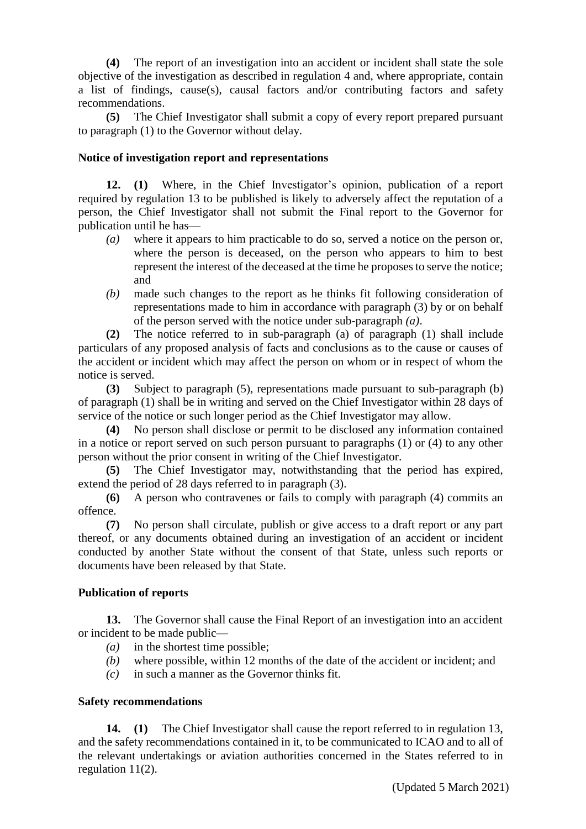**(4)** The report of an investigation into an accident or incident shall state the sole objective of the investigation as described in regulation 4 and, where appropriate, contain a list of findings, cause(s), causal factors and/or contributing factors and safety recommendations.

**(5)** The Chief Investigator shall submit a copy of every report prepared pursuant to paragraph (1) to the Governor without delay.

# **Notice of investigation report and representations**

**12. (1)** Where, in the Chief Investigator's opinion, publication of a report required by regulation 13 to be published is likely to adversely affect the reputation of a person, the Chief Investigator shall not submit the Final report to the Governor for publication until he has—

- *(a)* where it appears to him practicable to do so, served a notice on the person or, where the person is deceased, on the person who appears to him to best represent the interest of the deceased at the time he proposes to serve the notice; and
- *(b)* made such changes to the report as he thinks fit following consideration of representations made to him in accordance with paragraph (3) by or on behalf of the person served with the notice under sub-paragraph *(a)*.

**(2)** The notice referred to in sub-paragraph (a) of paragraph (1) shall include particulars of any proposed analysis of facts and conclusions as to the cause or causes of the accident or incident which may affect the person on whom or in respect of whom the notice is served.

**(3)** Subject to paragraph (5), representations made pursuant to sub-paragraph (b) of paragraph (1) shall be in writing and served on the Chief Investigator within 28 days of service of the notice or such longer period as the Chief Investigator may allow.

**(4)** No person shall disclose or permit to be disclosed any information contained in a notice or report served on such person pursuant to paragraphs (1) or (4) to any other person without the prior consent in writing of the Chief Investigator.

**(5)** The Chief Investigator may, notwithstanding that the period has expired, extend the period of 28 days referred to in paragraph (3).

**(6)** A person who contravenes or fails to comply with paragraph (4) commits an offence.

**(7)** No person shall circulate, publish or give access to a draft report or any part thereof, or any documents obtained during an investigation of an accident or incident conducted by another State without the consent of that State, unless such reports or documents have been released by that State.

# **Publication of reports**

**13.** The Governor shall cause the Final Report of an investigation into an accident or incident to be made public—

- *(a)* in the shortest time possible;
- *(b)* where possible, within 12 months of the date of the accident or incident; and
- *(c)* in such a manner as the Governor thinks fit.

# **Safety recommendations**

**14. (1)** The Chief Investigator shall cause the report referred to in regulation 13, and the safety recommendations contained in it, to be communicated to ICAO and to all of the relevant undertakings or aviation authorities concerned in the States referred to in regulation 11(2).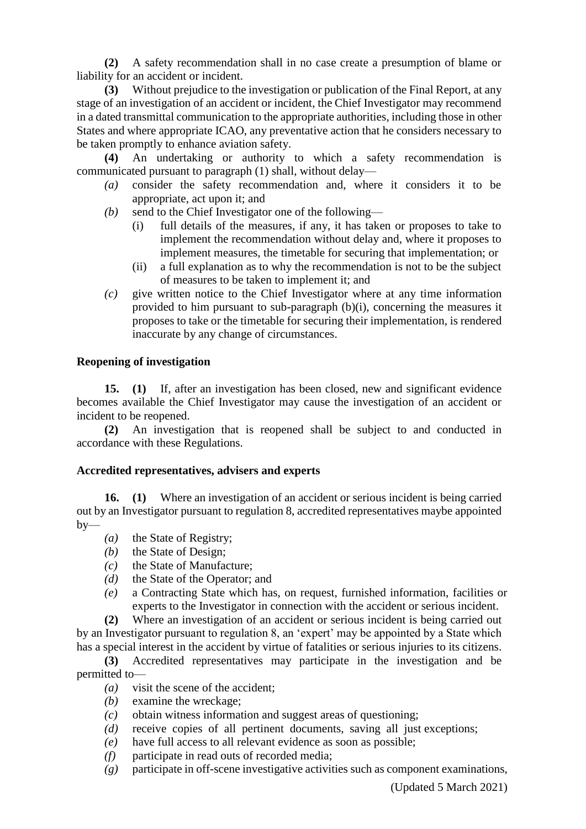**(2)** A safety recommendation shall in no case create a presumption of blame or liability for an accident or incident.

**(3)** Without prejudice to the investigation or publication of the Final Report, at any stage of an investigation of an accident or incident, the Chief Investigator may recommend in a dated transmittal communication to the appropriate authorities, including those in other States and where appropriate ICAO, any preventative action that he considers necessary to be taken promptly to enhance aviation safety.

**(4)** An undertaking or authority to which a safety recommendation is communicated pursuant to paragraph (1) shall, without delay—

- *(a)* consider the safety recommendation and, where it considers it to be appropriate, act upon it; and
- *(b)* send to the Chief Investigator one of the following—
	- (i) full details of the measures, if any, it has taken or proposes to take to implement the recommendation without delay and, where it proposes to implement measures, the timetable for securing that implementation; or
	- (ii) a full explanation as to why the recommendation is not to be the subject of measures to be taken to implement it; and
- *(c)* give written notice to the Chief Investigator where at any time information provided to him pursuant to sub-paragraph (b)(i), concerning the measures it proposes to take or the timetable for securing their implementation, is rendered inaccurate by any change of circumstances.

# **Reopening of investigation**

**15. (1)** If, after an investigation has been closed, new and significant evidence becomes available the Chief Investigator may cause the investigation of an accident or incident to be reopened.

**(2)** An investigation that is reopened shall be subject to and conducted in accordance with these Regulations.

### **Accredited representatives, advisers and experts**

**16. (1)** Where an investigation of an accident or serious incident is being carried out by an Investigator pursuant to regulation 8, accredited representatives maybe appointed  $by-$ 

- *(a)* the State of Registry;
- *(b)* the State of Design;
- *(c)* the State of Manufacture;
- *(d)* the State of the Operator; and
- *(e)* a Contracting State which has, on request, furnished information, facilities or experts to the Investigator in connection with the accident or serious incident.

**(2)** Where an investigation of an accident or serious incident is being carried out by an Investigator pursuant to regulation 8, an 'expert' may be appointed by a State which has a special interest in the accident by virtue of fatalities or serious injuries to its citizens.

**(3)** Accredited representatives may participate in the investigation and be permitted to—

- *(a)* visit the scene of the accident;
- *(b)* examine the wreckage;
- *(c)* obtain witness information and suggest areas of questioning;
- *(d)* receive copies of all pertinent documents, saving all just exceptions;
- *(e)* have full access to all relevant evidence as soon as possible;
- *(f)* participate in read outs of recorded media;
- *(g)* participate in off-scene investigative activities such as component examinations,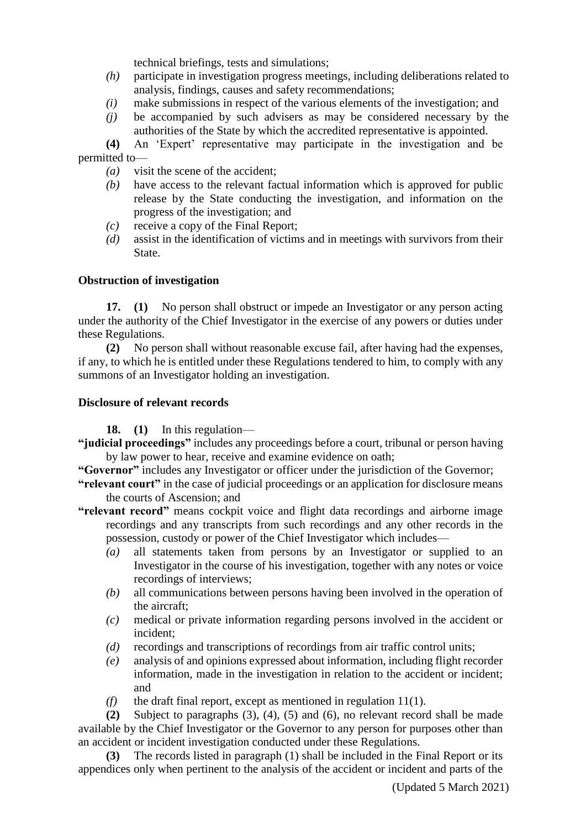technical briefings, tests and simulations;

- *(h)* participate in investigation progress meetings, including deliberations related to analysis, findings, causes and safety recommendations;
- *(i)* make submissions in respect of the various elements of the investigation; and
- *(j)* be accompanied by such advisers as may be considered necessary by the authorities of the State by which the accredited representative is appointed.

**(4)** An 'Expert' representative may participate in the investigation and be permitted to—

- *(a)* visit the scene of the accident;
- *(b)* have access to the relevant factual information which is approved for public release by the State conducting the investigation, and information on the progress of the investigation; and
- *(c)* receive a copy of the Final Report;
- *(d)* assist in the identification of victims and in meetings with survivors from their State.

### **Obstruction of investigation**

**17. (1)** No person shall obstruct or impede an Investigator or any person acting under the authority of the Chief Investigator in the exercise of any powers or duties under these Regulations.

**(2)** No person shall without reasonable excuse fail, after having had the expenses, if any, to which he is entitled under these Regulations tendered to him, to comply with any summons of an Investigator holding an investigation.

#### **Disclosure of relevant records**

**18. (1)** In this regulation—

**"judicial proceedings"** includes any proceedings before a court, tribunal or person having by law power to hear, receive and examine evidence on oath;

- **"Governor"** includes any Investigator or officer under the jurisdiction of the Governor;
- **"relevant court"** in the case of judicial proceedings or an application for disclosure means the courts of Ascension; and
- **"relevant record"** means cockpit voice and flight data recordings and airborne image recordings and any transcripts from such recordings and any other records in the possession, custody or power of the Chief Investigator which includes—
	- *(a)* all statements taken from persons by an Investigator or supplied to an Investigator in the course of his investigation, together with any notes or voice recordings of interviews;
	- *(b)* all communications between persons having been involved in the operation of the aircraft;
	- *(c)* medical or private information regarding persons involved in the accident or incident;
	- *(d)* recordings and transcriptions of recordings from air traffic control units;
	- *(e)* analysis of and opinions expressed about information, including flight recorder information, made in the investigation in relation to the accident or incident; and
	- *(f)* the draft final report, except as mentioned in regulation 11(1).

**(2)** Subject to paragraphs (3), (4), (5) and (6), no relevant record shall be made available by the Chief Investigator or the Governor to any person for purposes other than an accident or incident investigation conducted under these Regulations.

**(3)** The records listed in paragraph (1) shall be included in the Final Report or its appendices only when pertinent to the analysis of the accident or incident and parts of the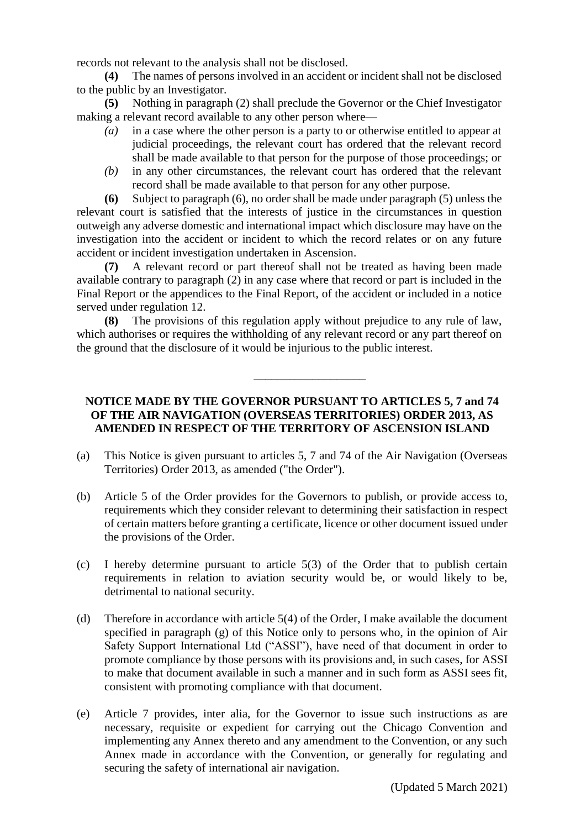records not relevant to the analysis shall not be disclosed.

**(4)** The names of persons involved in an accident or incident shall not be disclosed to the public by an Investigator.

**(5)** Nothing in paragraph (2) shall preclude the Governor or the Chief Investigator making a relevant record available to any other person where—

- *(a)* in a case where the other person is a party to or otherwise entitled to appear at judicial proceedings, the relevant court has ordered that the relevant record shall be made available to that person for the purpose of those proceedings; or
- *(b)* in any other circumstances, the relevant court has ordered that the relevant record shall be made available to that person for any other purpose.

**(6)** Subject to paragraph (6), no order shall be made under paragraph (5) unless the relevant court is satisfied that the interests of justice in the circumstances in question outweigh any adverse domestic and international impact which disclosure may have on the investigation into the accident or incident to which the record relates or on any future accident or incident investigation undertaken in Ascension.

**(7)** A relevant record or part thereof shall not be treated as having been made available contrary to paragraph (2) in any case where that record or part is included in the Final Report or the appendices to the Final Report, of the accident or included in a notice served under regulation 12.

**(8)** The provisions of this regulation apply without prejudice to any rule of law, which authorises or requires the withholding of any relevant record or any part thereof on the ground that the disclosure of it would be injurious to the public interest.

# **NOTICE MADE BY THE GOVERNOR PURSUANT TO ARTICLES 5, 7 and 74 OF THE AIR NAVIGATION (OVERSEAS TERRITORIES) ORDER 2013, AS AMENDED IN RESPECT OF THE TERRITORY OF ASCENSION ISLAND**

 $\overline{\phantom{a}}$  , where  $\overline{\phantom{a}}$  , where  $\overline{\phantom{a}}$  , where  $\overline{\phantom{a}}$ 

- (a) This Notice is given pursuant to articles 5, 7 and 74 of the Air Navigation (Overseas Territories) Order 2013, as amended ("the Order").
- (b) Article 5 of the Order provides for the Governors to publish, or provide access to, requirements which they consider relevant to determining their satisfaction in respect of certain matters before granting a certificate, licence or other document issued under the provisions of the Order.
- (c) I hereby determine pursuant to article 5(3) of the Order that to publish certain requirements in relation to aviation security would be, or would likely to be, detrimental to national security.
- (d) Therefore in accordance with article 5(4) of the Order, I make available the document specified in paragraph (g) of this Notice only to persons who, in the opinion of Air Safety Support International Ltd ("ASSI"), have need of that document in order to promote compliance by those persons with its provisions and, in such cases, for ASSI to make that document available in such a manner and in such form as ASSI sees fit, consistent with promoting compliance with that document.
- (e) Article 7 provides, inter alia, for the Governor to issue such instructions as are necessary, requisite or expedient for carrying out the Chicago Convention and implementing any Annex thereto and any amendment to the Convention, or any such Annex made in accordance with the Convention, or generally for regulating and securing the safety of international air navigation.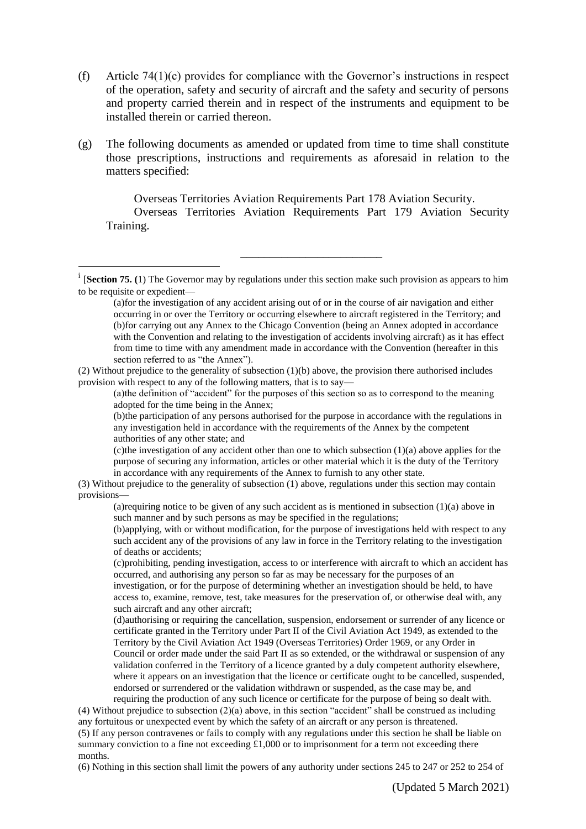- (f) Article 74(1)(c) provides for compliance with the Governor's instructions in respect of the operation, safety and security of aircraft and the safety and security of persons and property carried therein and in respect of the instruments and equipment to be installed therein or carried thereon.
- (g) The following documents as amended or updated from time to time shall constitute those prescriptions, instructions and requirements as aforesaid in relation to the matters specified:

Overseas Territories Aviation Requirements Part 178 Aviation Security. Overseas Territories Aviation Requirements Part 179 Aviation Security Training.

\_\_\_\_\_\_\_\_\_\_\_\_\_\_\_\_\_\_\_\_\_\_\_\_

-

(2) Without prejudice to the generality of subsection (1)(b) above, the provision there authorised includes provision with respect to any of the following matters, that is to say—

(a)the definition of "accident" for the purposes of this section so as to correspond to the meaning adopted for the time being in the Annex;

(b)the participation of any persons authorised for the purpose in accordance with the regulations in any investigation held in accordance with the requirements of the Annex by the competent authorities of any other state; and

(c)the investigation of any accident other than one to which subsection  $(1)(a)$  above applies for the purpose of securing any information, articles or other material which it is the duty of the Territory in accordance with any requirements of the Annex to furnish to any other state.

(3) Without prejudice to the generality of subsection (1) above, regulations under this section may contain provisions—

(a) requiring notice to be given of any such accident as is mentioned in subsection  $(1)(a)$  above in such manner and by such persons as may be specified in the regulations;

(b)applying, with or without modification, for the purpose of investigations held with respect to any such accident any of the provisions of any law in force in the Territory relating to the investigation of deaths or accidents;

(c)prohibiting, pending investigation, access to or interference with aircraft to which an accident has occurred, and authorising any person so far as may be necessary for the purposes of an investigation, or for the purpose of determining whether an investigation should be held, to have access to, examine, remove, test, take measures for the preservation of, or otherwise deal with, any such aircraft and any other aircraft;

(d)authorising or requiring the cancellation, suspension, endorsement or surrender of any licence or certificate granted in the Territory under Part II of the Civil Aviation Act 1949, as extended to the Territory by the Civil Aviation Act 1949 (Overseas Territories) Order 1969, or any Order in Council or order made under the said Part II as so extended, or the withdrawal or suspension of any validation conferred in the Territory of a licence granted by a duly competent authority elsewhere, where it appears on an investigation that the licence or certificate ought to be cancelled, suspended, endorsed or surrendered or the validation withdrawn or suspended, as the case may be, and requiring the production of any such licence or certificate for the purpose of being so dealt with.

(4) Without prejudice to subsection (2)(a) above, in this section "accident" shall be construed as including any fortuitous or unexpected event by which the safety of an aircraft or any person is threatened.

(5) If any person contravenes or fails to comply with any regulations under this section he shall be liable on summary conviction to a fine not exceeding  $£1,000$  or to imprisonment for a term not exceeding there months.

(6) Nothing in this section shall limit the powers of any authority under sections 245 to 247 or 252 to 254 of

<sup>&</sup>lt;sup>i</sup> [Section 75. (1) The Governor may by regulations under this section make such provision as appears to him to be requisite or expedient—

<sup>(</sup>a)for the investigation of any accident arising out of or in the course of air navigation and either occurring in or over the Territory or occurring elsewhere to aircraft registered in the Territory; and (b)for carrying out any Annex to the Chicago Convention (being an Annex adopted in accordance with the Convention and relating to the investigation of accidents involving aircraft) as it has effect from time to time with any amendment made in accordance with the Convention (hereafter in this section referred to as "the Annex").